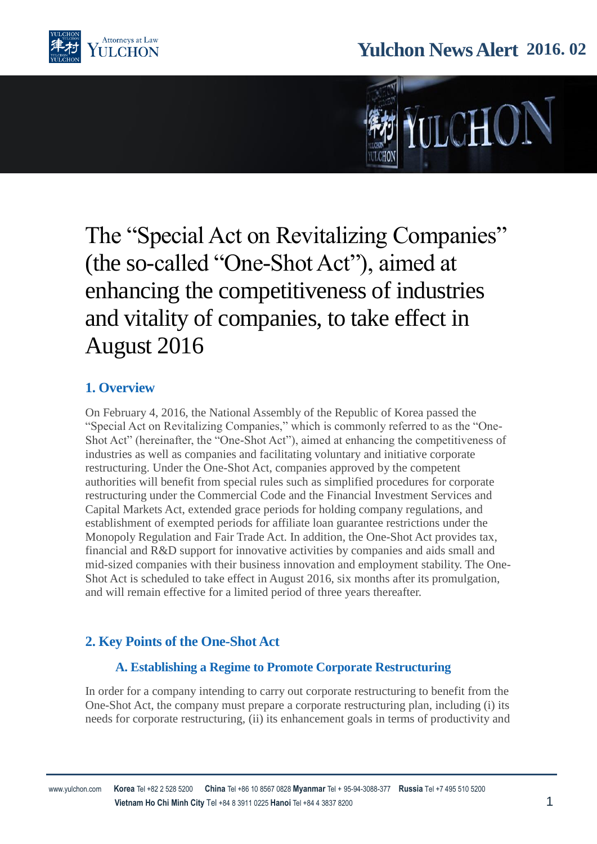

# **Yulchon News Alert 2016. 02**



# The "Special Act on Revitalizing Companies" (the so-called "One-Shot Act"), aimed at enhancing the competitiveness of industries and vitality of companies, to take effect in August 2016

## **1. Overview**

On February 4, 2016, the National Assembly of the Republic of Korea passed the "Special Act on Revitalizing Companies," which is commonly referred to as the "One-Shot Act" (hereinafter, the "One-Shot Act"), aimed at enhancing the competitiveness of industries as well as companies and facilitating voluntary and initiative corporate restructuring. Under the One-Shot Act, companies approved by the competent authorities will benefit from special rules such as simplified procedures for corporate restructuring under the Commercial Code and the Financial Investment Services and Capital Markets Act, extended grace periods for holding company regulations, and establishment of exempted periods for affiliate loan guarantee restrictions under the Monopoly Regulation and Fair Trade Act. In addition, the One-Shot Act provides tax, financial and R&D support for innovative activities by companies and aids small and mid-sized companies with their business innovation and employment stability. The One-Shot Act is scheduled to take effect in August 2016, six months after its promulgation, and will remain effective for a limited period of three years thereafter.

## **2. Key Points of the One-Shot Act**

#### **A. Establishing a Regime to Promote Corporate Restructuring**

In order for a company intending to carry out corporate restructuring to benefit from the One-Shot Act, the company must prepare a corporate restructuring plan, including (i) its needs for corporate restructuring, (ii) its enhancement goals in terms of productivity and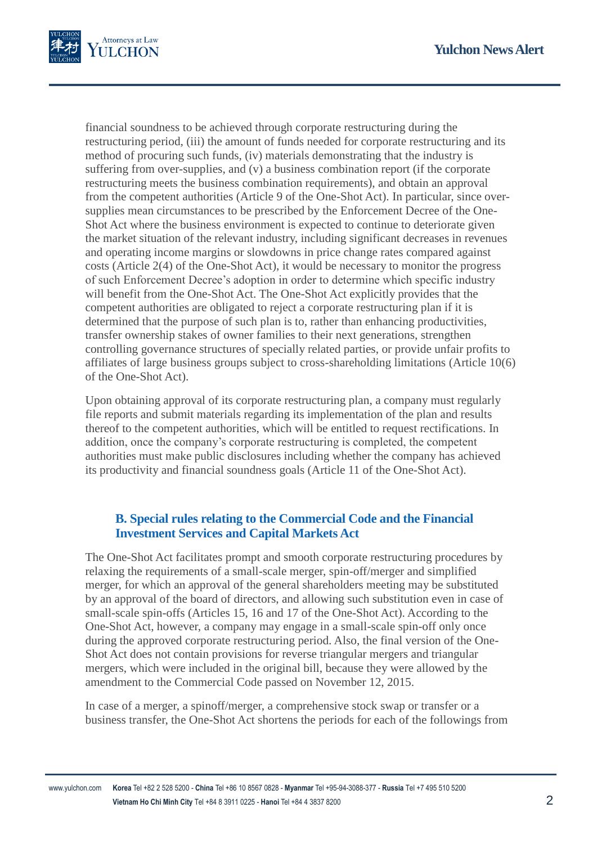

financial soundness to be achieved through corporate restructuring during the restructuring period, (iii) the amount of funds needed for corporate restructuring and its method of procuring such funds, (iv) materials demonstrating that the industry is suffering from over-supplies, and (v) a business combination report (if the corporate restructuring meets the business combination requirements), and obtain an approval from the competent authorities (Article 9 of the One-Shot Act). In particular, since oversupplies mean circumstances to be prescribed by the Enforcement Decree of the One-Shot Act where the business environment is expected to continue to deteriorate given the market situation of the relevant industry, including significant decreases in revenues and operating income margins or slowdowns in price change rates compared against costs (Article 2(4) of the One-Shot Act), it would be necessary to monitor the progress of such Enforcement Decree's adoption in order to determine which specific industry will benefit from the One-Shot Act. The One-Shot Act explicitly provides that the competent authorities are obligated to reject a corporate restructuring plan if it is determined that the purpose of such plan is to, rather than enhancing productivities, transfer ownership stakes of owner families to their next generations, strengthen controlling governance structures of specially related parties, or provide unfair profits to affiliates of large business groups subject to cross-shareholding limitations (Article 10(6) of the One-Shot Act).

Upon obtaining approval of its corporate restructuring plan, a company must regularly file reports and submit materials regarding its implementation of the plan and results thereof to the competent authorities, which will be entitled to request rectifications. In addition, once the company's corporate restructuring is completed, the competent authorities must make public disclosures including whether the company has achieved its productivity and financial soundness goals (Article 11 of the One-Shot Act).

#### **B. Special rules relating to the Commercial Code and the Financial Investment Services and Capital Markets Act**

The One-Shot Act facilitates prompt and smooth corporate restructuring procedures by relaxing the requirements of a small-scale merger, spin-off/merger and simplified merger, for which an approval of the general shareholders meeting may be substituted by an approval of the board of directors, and allowing such substitution even in case of small-scale spin-offs (Articles 15, 16 and 17 of the One-Shot Act). According to the One-Shot Act, however, a company may engage in a small-scale spin-off only once during the approved corporate restructuring period. Also, the final version of the One-Shot Act does not contain provisions for reverse triangular mergers and triangular mergers, which were included in the original bill, because they were allowed by the amendment to the Commercial Code passed on November 12, 2015.

In case of a merger, a spinoff/merger, a comprehensive stock swap or transfer or a business transfer, the One-Shot Act shortens the periods for each of the followings from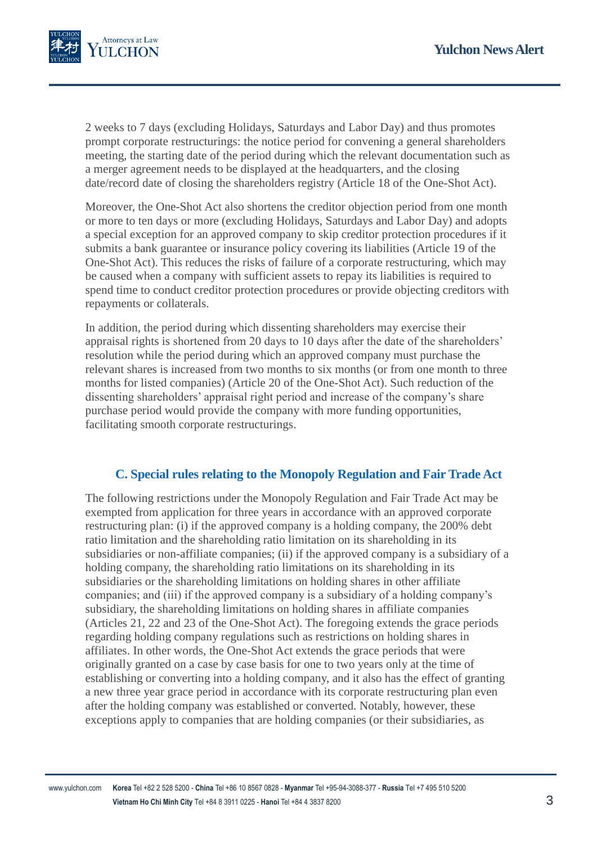

2 weeks to 7 days (excluding Holidays, Saturdays and Labor Day) and thus promotes prompt corporate restructurings: the notice period for convening a general shareholders meeting, the starting date of the period during which the relevant documentation such as a merger agreement needs to be displayed at the headquarters, and the closing date/record date of closing the shareholders registry (Article 18 of the One-Shot Act).

Moreover, the One-Shot Act also shortens the creditor objection period from one month or more to ten days or more (excluding Holidays, Saturdays and Labor Day) and adopts a special exception for an approved company to skip creditor protection procedures if it submits a bank guarantee or insurance policy covering its liabilities (Article 19 of the One-Shot Act). This reduces the risks of failure of a corporate restructuring, which may be caused when a company with sufficient assets to repay its liabilities is required to spend time to conduct creditor protection procedures or provide objecting creditors with repayments or collaterals.

In addition, the period during which dissenting shareholders may exercise their appraisal rights is shortened from 20 days to 10 days after the date of the shareholders' resolution while the period during which an approved company must purchase the relevant shares is increased from two months to six months (or from one month to three months for listed companies) (Article 20 of the One-Shot Act). Such reduction of the dissenting shareholders' appraisal right period and increase of the company's share purchase period would provide the company with more funding opportunities, facilitating smooth corporate restructurings.

#### **C. Special rules relating to the Monopoly Regulation and Fair Trade Act**

The following restrictions under the Monopoly Regulation and Fair Trade Act may be exempted from application for three years in accordance with an approved corporate restructuring plan: (i) if the approved company is a holding company, the 200% debt ratio limitation and the shareholding ratio limitation on its shareholding in its subsidiaries or non-affiliate companies; (ii) if the approved company is a subsidiary of a holding company, the shareholding ratio limitations on its shareholding in its subsidiaries or the shareholding limitations on holding shares in other affiliate companies; and (iii) if the approved company is a subsidiary of a holding company's subsidiary, the shareholding limitations on holding shares in affiliate companies (Articles 21, 22 and 23 of the One-Shot Act). The foregoing extends the grace periods regarding holding company regulations such as restrictions on holding shares in affiliates. In other words, the One-Shot Act extends the grace periods that were originally granted on a case by case basis for one to two years only at the time of establishing or converting into a holding company, and it also has the effect of granting a new three year grace period in accordance with its corporate restructuring plan even after the holding company was established or converted. Notably, however, these exceptions apply to companies that are holding companies (or their subsidiaries, as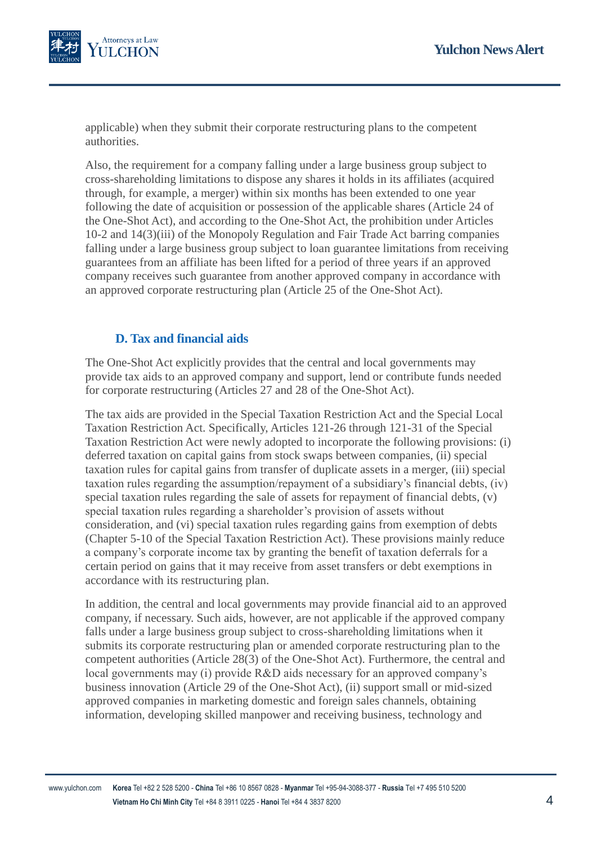

applicable) when they submit their corporate restructuring plans to the competent authorities.

Also, the requirement for a company falling under a large business group subject to cross-shareholding limitations to dispose any shares it holds in its affiliates (acquired through, for example, a merger) within six months has been extended to one year following the date of acquisition or possession of the applicable shares (Article 24 of the One-Shot Act), and according to the One-Shot Act, the prohibition under Articles 10-2 and 14(3)(iii) of the Monopoly Regulation and Fair Trade Act barring companies falling under a large business group subject to loan guarantee limitations from receiving guarantees from an affiliate has been lifted for a period of three years if an approved company receives such guarantee from another approved company in accordance with an approved corporate restructuring plan (Article 25 of the One-Shot Act).

#### **D. Tax and financial aids**

The One-Shot Act explicitly provides that the central and local governments may provide tax aids to an approved company and support, lend or contribute funds needed for corporate restructuring (Articles 27 and 28 of the One-Shot Act).

The tax aids are provided in the Special Taxation Restriction Act and the Special Local Taxation Restriction Act. Specifically, Articles 121-26 through 121-31 of the Special Taxation Restriction Act were newly adopted to incorporate the following provisions: (i) deferred taxation on capital gains from stock swaps between companies, (ii) special taxation rules for capital gains from transfer of duplicate assets in a merger, (iii) special taxation rules regarding the assumption/repayment of a subsidiary's financial debts, (iv) special taxation rules regarding the sale of assets for repayment of financial debts, (v) special taxation rules regarding a shareholder's provision of assets without consideration, and (vi) special taxation rules regarding gains from exemption of debts (Chapter 5-10 of the Special Taxation Restriction Act). These provisions mainly reduce a company's corporate income tax by granting the benefit of taxation deferrals for a certain period on gains that it may receive from asset transfers or debt exemptions in accordance with its restructuring plan.

In addition, the central and local governments may provide financial aid to an approved company, if necessary. Such aids, however, are not applicable if the approved company falls under a large business group subject to cross-shareholding limitations when it submits its corporate restructuring plan or amended corporate restructuring plan to the competent authorities (Article 28(3) of the One-Shot Act). Furthermore, the central and local governments may (i) provide R&D aids necessary for an approved company's business innovation (Article 29 of the One-Shot Act), (ii) support small or mid-sized approved companies in marketing domestic and foreign sales channels, obtaining information, developing skilled manpower and receiving business, technology and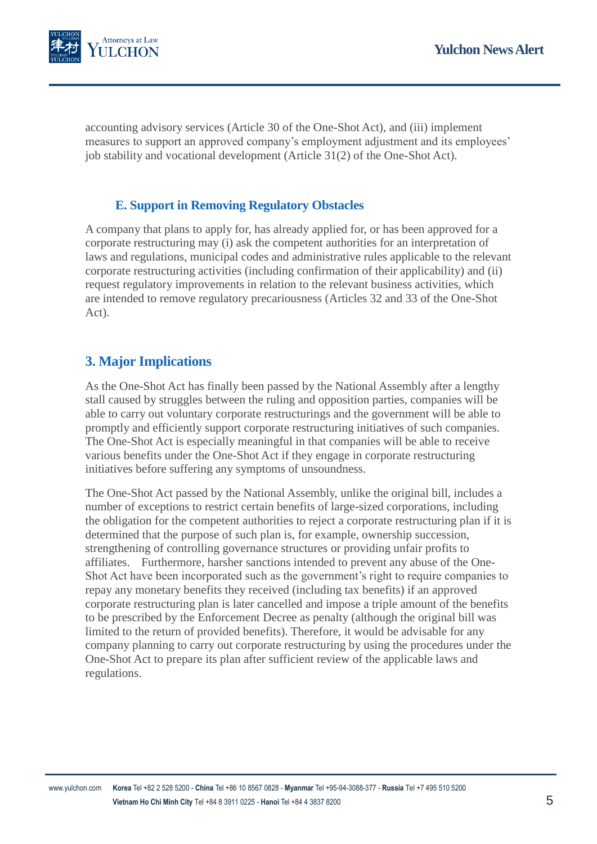

accounting advisory services (Article 30 of the One-Shot Act), and (iii) implement measures to support an approved company's employment adjustment and its employees' job stability and vocational development (Article 31(2) of the One-Shot Act).

#### **E. Support in Removing Regulatory Obstacles**

A company that plans to apply for, has already applied for, or has been approved for a corporate restructuring may (i) ask the competent authorities for an interpretation of laws and regulations, municipal codes and administrative rules applicable to the relevant corporate restructuring activities (including confirmation of their applicability) and (ii) request regulatory improvements in relation to the relevant business activities, which are intended to remove regulatory precariousness (Articles 32 and 33 of the One-Shot Act).

## **3. Major Implications**

As the One-Shot Act has finally been passed by the National Assembly after a lengthy stall caused by struggles between the ruling and opposition parties, companies will be able to carry out voluntary corporate restructurings and the government will be able to promptly and efficiently support corporate restructuring initiatives of such companies. The One-Shot Act is especially meaningful in that companies will be able to receive various benefits under the One-Shot Act if they engage in corporate restructuring initiatives before suffering any symptoms of unsoundness.

The One-Shot Act passed by the National Assembly, unlike the original bill, includes a number of exceptions to restrict certain benefits of large-sized corporations, including the obligation for the competent authorities to reject a corporate restructuring plan if it is determined that the purpose of such plan is, for example, ownership succession, strengthening of controlling governance structures or providing unfair profits to affiliates. Furthermore, harsher sanctions intended to prevent any abuse of the One-Shot Act have been incorporated such as the government's right to require companies to repay any monetary benefits they received (including tax benefits) if an approved corporate restructuring plan is later cancelled and impose a triple amount of the benefits to be prescribed by the Enforcement Decree as penalty (although the original bill was limited to the return of provided benefits). Therefore, it would be advisable for any company planning to carry out corporate restructuring by using the procedures under the One-Shot Act to prepare its plan after sufficient review of the applicable laws and regulations.